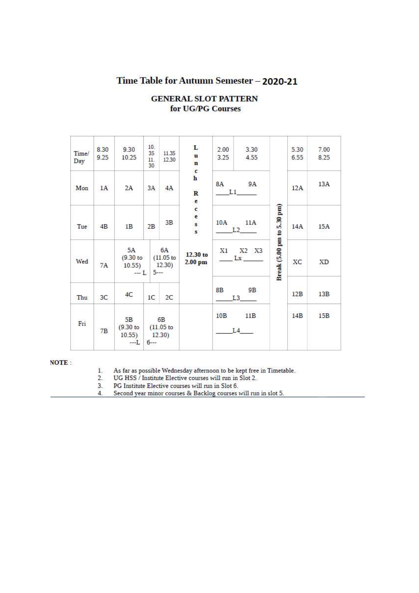## Time Table for Autumn Semester - 2020-21

| Time/<br>Day | 8.30<br>9.25 | 9.30<br>10.25                       | 10.<br>35<br>11.<br>30 | 11.35<br>12.30                         | L<br>$\mathbf{u}$<br>$\mathbf{n}$<br>$\mathbf{c}$                                                                                               | 2.00<br>3.25    | 3.30<br>4.55 |                            | 5.30<br>6.55 | 7.00<br>8.25 |
|--------------|--------------|-------------------------------------|------------------------|----------------------------------------|-------------------------------------------------------------------------------------------------------------------------------------------------|-----------------|--------------|----------------------------|--------------|--------------|
| Mon          | 1A           | 2A                                  | 3A                     | 4A                                     | h<br>$\overline{\mathbf{R}}$<br>e                                                                                                               | <b>8A</b><br>L1 | 9A           |                            | 12A          | 13A          |
| Tue          | 4B           | 1B                                  | 2B                     | 3B                                     | c<br>$\mathsf{e}% _{0}\left( \mathsf{e}_{\mathrm{e}}\right) =\mathsf{e}_{\mathrm{e}}\left( \mathsf{e}_{\mathrm{e}}\right)$<br>$\mathbf{s}$<br>s | 10A             | 11A<br>L2    |                            | 14A          | 15A          |
| Wed          | 7A           | 5A<br>$(9.30)$ to<br>10.55)<br>$-L$ |                        | 6A<br>$(11.05$ to<br>12:30)<br>$5 - -$ | 12.30 to<br>$2.00$ pm                                                                                                                           | X1              | X2 X3<br>Lx  | Break (5.00 pm to 5.30 pm) | XС           | XD           |
| Thu          | 3C           | 4C                                  | 1C                     | 2 <sup>C</sup>                         |                                                                                                                                                 | <b>8B</b>       | 9B<br>L3     |                            | 12B          | 13B          |
| Fri          | 7B           | 5B<br>$(9.30)$ to<br>10.55)<br>$-I$ | $6 - -$                | 6B<br>$(11.05$ to<br>12.30)            |                                                                                                                                                 | 10B             | 11B<br>L4    |                            | 14B          | 15B          |

## **GENERAL SLOT PATTERN** for UG/PG Courses

## **NOTE:**

 $1$ As far as possible Wednesday afternoon to be kept free in Timetable.

 $\frac{2}{3}$ . UG HSS / Institute Elective courses will run in Slot 2.

PG Institute Elective courses will run in Slot 6.

Second year minor courses & Backlog courses will run in slot 5.  $4.$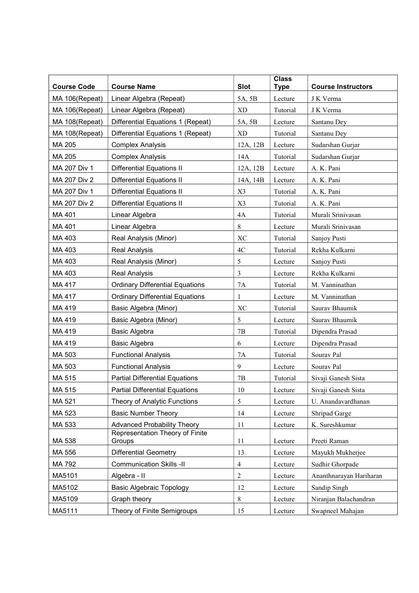| <b>Course Code</b> | <b>Course Name</b>                        | <b>Slot</b>    | <b>Class</b><br><b>Type</b> | <b>Course Instructors</b> |
|--------------------|-------------------------------------------|----------------|-----------------------------|---------------------------|
| MA 106(Repeat)     | Linear Algebra (Repeat)                   | 5A, 5B         | Lecture                     | J K Verma                 |
| MA 106(Repeat)     | Linear Algebra (Repeat)                   | <b>XD</b>      | Tutorial                    | J K Verma                 |
| MA 108(Repeat)     | Differential Equations 1 (Repeat)         | 5A, 5B         | Lecture                     | Santanu Dey               |
| MA 108(Repeat)     | Differential Equations 1 (Repeat)         | <b>XD</b>      | Tutorial                    | Santanu Dey               |
| MA 205             | <b>Complex Analysis</b>                   | 12A, 12B       | Lecture                     | Sudarshan Gurjar          |
| MA 205             | <b>Complex Analysis</b>                   | 14A            | Tutorial                    | Sudarshan Gurjar          |
| MA 207 Div 1       | <b>Differential Equations II</b>          | 12A, 12B       | Lecture                     | A. K. Pani                |
| MA 207 Div 2       | <b>Differential Equations II</b>          | 14A, 14B       | Lecture                     | A. K. Pani                |
| MA 207 Div 1       | <b>Differential Equations II</b>          | X3             | Tutorial                    | A. K. Pani                |
| MA 207 Div 2       | <b>Differential Equations II</b>          | X3             | Tutorial                    | A. K. Pani                |
| MA 401             | Linear Algebra                            | 4A             | Tutorial                    | Murali Srinivasan         |
| MA 401             | Linear Algebra                            | 8              | Lecture                     | Murali Srinivasan         |
| MA 403             | Real Analysis (Minor)                     | <b>XC</b>      | Tutorial                    | Sanjoy Pusti              |
| MA 403             | <b>Real Analysis</b>                      | 4C             | Tutorial                    | Rekha Kulkarni            |
| MA 403             | Real Analysis (Minor)                     | 5              | Lecture                     | Sanjoy Pusti              |
| MA 403             | <b>Real Analysis</b>                      | 3              | Lecture                     | Rekha Kulkarni            |
| MA 417             | <b>Ordinary Differential Equations</b>    | <b>7A</b>      | Tutorial                    | M. Vanninathan            |
| MA 417             | <b>Ordinary Differential Equations</b>    | $\mathbf{1}$   | Lecture                     | M. Vanninathan            |
| MA 419             | Basic Algebra (Minor)                     | <b>XC</b>      | Tutorial                    | Saurav Bhaumik            |
| MA 419             | Basic Algebra (Minor)                     | 5              | Lecture                     | Saurav Bhaumik            |
| MA 419             | Basic Algebra                             | 7B             | Tutorial                    | Dipendra Prasad           |
| MA 419             | Basic Algebra                             | 6              | Lecture                     | Dipendra Prasad           |
| MA 503             | <b>Functional Analysis</b>                | 7A             | Tutorial                    | Sourav Pal                |
| MA 503             | <b>Functional Analysis</b>                | 9              | Lecture                     | Sourav Pal                |
| MA 515             | <b>Partial Differential Equations</b>     | 7B             | Tutorial                    | Sivaji Ganesh Sista       |
| MA 515             | <b>Partial Differential Equations</b>     | 10             | Lecture                     | Sivaji Ganesh Sista       |
| MA 521             | Theory of Analytic Functions              | 5              | Lecture                     | U. Anandavardhanan        |
| MA 523             | <b>Basic Number Theory</b>                | 14             | Lecture                     | Shripad Garge             |
| MA 533             | <b>Advanced Probability Theory</b>        | 11             | Lecture                     | K. Sureshkumar            |
| MA 538             | Representation Theory of Finite<br>Groups | 11             | Lecture                     | Preeti Raman              |
| MA 556             | <b>Differential Geometry</b>              | 13             | Lecture                     | Mayukh Mukherjee          |
| MA 792             | <b>Communication Skills -II</b>           | 4              | Lecture                     | Sudhir Ghorpade           |
| MA5101             | Algebra - II                              | $\overline{c}$ | Lecture                     | Ananthnarayan Hariharan   |
| MA5102             | <b>Basic Algebraic Topology</b>           | 12             | Lecture                     | Sandip Singh              |
| MA5109             | Graph theory                              | 8              | Lecture                     | Niranjan Balachandran     |
| MA5111             | Theory of Finite Semigroups               | 15             | Lecture                     | Swapneel Mahajan          |